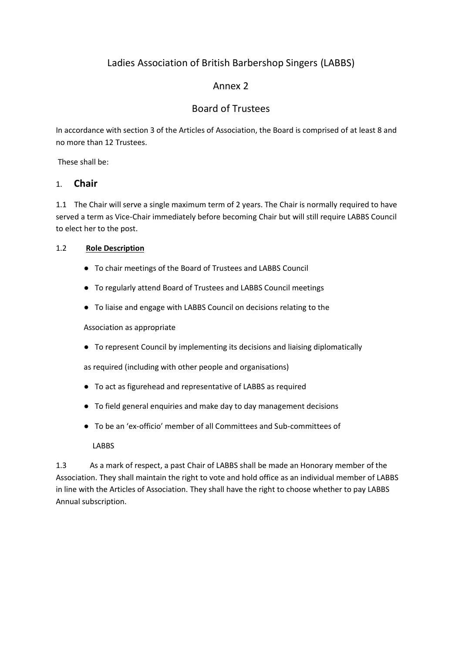# Ladies Association of British Barbershop Singers (LABBS)

# Annex 2

# Board of Trustees

In accordance with section 3 of the Articles of Association, the Board is comprised of at least 8 and no more than 12 Trustees.

These shall be:

### 1. **Chair**

1.1 The Chair will serve a single maximum term of 2 years. The Chair is normally required to have served a term as Vice-Chair immediately before becoming Chair but will still require LABBS Council to elect her to the post.

### 1.2 **Role Description**

- To chair meetings of the Board of Trustees and LABBS Council
- To regularly attend Board of Trustees and LABBS Council meetings
- To liaise and engage with LABBS Council on decisions relating to the

Association as appropriate

● To represent Council by implementing its decisions and liaising diplomatically

as required (including with other people and organisations)

- To act as figurehead and representative of LABBS as required
- To field general enquiries and make day to day management decisions
- To be an 'ex-officio' member of all Committees and Sub-committees of

LABBS

1.3 As a mark of respect, a past Chair of LABBS shall be made an Honorary member of the Association. They shall maintain the right to vote and hold office as an individual member of LABBS in line with the Articles of Association. They shall have the right to choose whether to pay LABBS Annual subscription.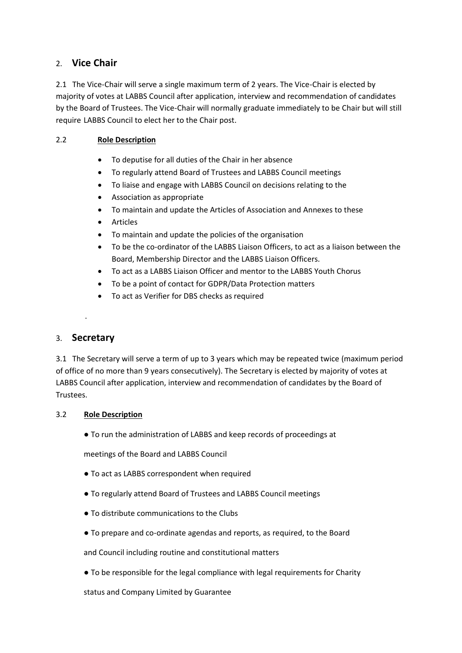## 2. **Vice Chair**

2.1 The Vice-Chair will serve a single maximum term of 2 years. The Vice-Chair is elected by majority of votes at LABBS Council after application, interview and recommendation of candidates by the Board of Trustees. The Vice-Chair will normally graduate immediately to be Chair but will still require LABBS Council to elect her to the Chair post.

### 2.2 **Role Description**

- To deputise for all duties of the Chair in her absence
- To regularly attend Board of Trustees and LABBS Council meetings
- To liaise and engage with LABBS Council on decisions relating to the
- Association as appropriate
- To maintain and update the Articles of Association and Annexes to these
- **Articles**
- To maintain and update the policies of the organisation
- To be the co-ordinator of the LABBS Liaison Officers, to act as a liaison between the Board, Membership Director and the LABBS Liaison Officers.
- To act as a LABBS Liaison Officer and mentor to the LABBS Youth Chorus
- To be a point of contact for GDPR/Data Protection matters
- To act as Verifier for DBS checks as required

### 3. **Secretary**

.

3.1 The Secretary will serve a term of up to 3 years which may be repeated twice (maximum period of office of no more than 9 years consecutively). The Secretary is elected by majority of votes at LABBS Council after application, interview and recommendation of candidates by the Board of Trustees.

#### 3.2 **Role Description**

● To run the administration of LABBS and keep records of proceedings at

meetings of the Board and LABBS Council

- To act as LABBS correspondent when required
- To regularly attend Board of Trustees and LABBS Council meetings
- To distribute communications to the Clubs
- To prepare and co-ordinate agendas and reports, as required, to the Board

and Council including routine and constitutional matters

● To be responsible for the legal compliance with legal requirements for Charity

status and Company Limited by Guarantee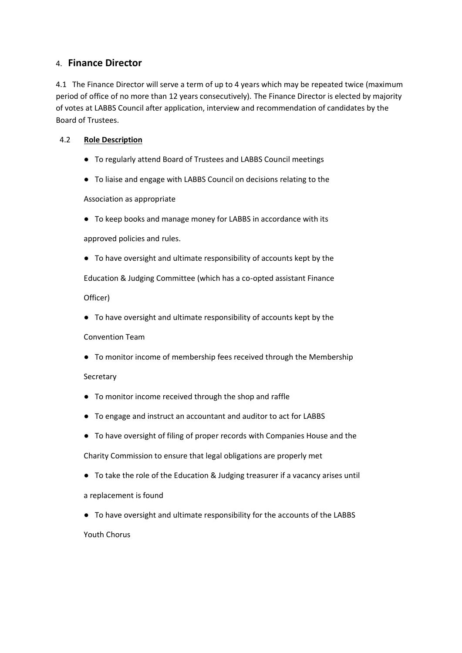### 4. **Finance Director**

4.1 The Finance Director will serve a term of up to 4 years which may be repeated twice (maximum period of office of no more than 12 years consecutively). The Finance Director is elected by majority of votes at LABBS Council after application, interview and recommendation of candidates by the Board of Trustees.

#### 4.2 **Role Description**

- To regularly attend Board of Trustees and LABBS Council meetings
- To liaise and engage with LABBS Council on decisions relating to the

Association as appropriate

● To keep books and manage money for LABBS in accordance with its

approved policies and rules.

● To have oversight and ultimate responsibility of accounts kept by the

Education & Judging Committee (which has a co-opted assistant Finance

Officer)

● To have oversight and ultimate responsibility of accounts kept by the

#### Convention Team

● To monitor income of membership fees received through the Membership

#### Secretary

- To monitor income received through the shop and raffle
- To engage and instruct an accountant and auditor to act for LABBS
- To have oversight of filing of proper records with Companies House and the

Charity Commission to ensure that legal obligations are properly met

● To take the role of the Education & Judging treasurer if a vacancy arises until

a replacement is found

● To have oversight and ultimate responsibility for the accounts of the LABBS Youth Chorus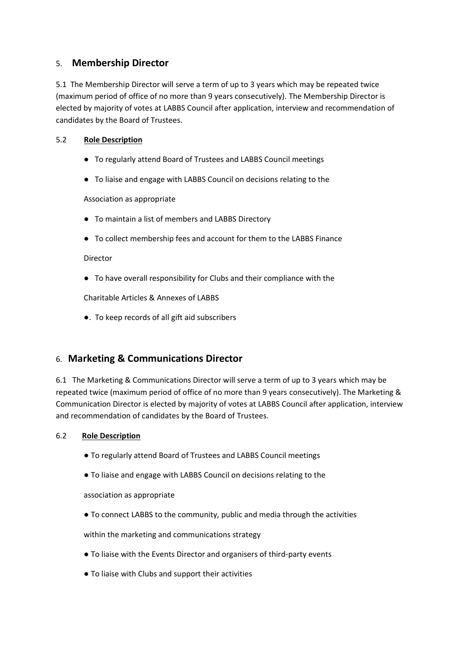## 5. **Membership Director**

5.1 The Membership Director will serve a term of up to 3 years which may be repeated twice (maximum period of office of no more than 9 years consecutively). The Membership Director is elected by majority of votes at LABBS Council after application, interview and recommendation of candidates by the Board of Trustees.

#### 5.2 **Role Description**

- To regularly attend Board of Trustees and LABBS Council meetings
- To liaise and engage with LABBS Council on decisions relating to the

Association as appropriate

- To maintain a list of members and LABBS Directory
- To collect membership fees and account for them to the LABBS Finance

Director

● To have overall responsibility for Clubs and their compliance with the

Charitable Articles & Annexes of LABBS

●. To keep records of all gift aid subscribers

# 6. **Marketing & Communications Director**

6.1 The Marketing & Communications Director will serve a term of up to 3 years which may be repeated twice (maximum period of office of no more than 9 years consecutively). The Marketing & Communication Director is elected by majority of votes at LABBS Council after application, interview and recommendation of candidates by the Board of Trustees.

#### 6.2 **Role Description**

- To regularly attend Board of Trustees and LABBS Council meetings
- To liaise and engage with LABBS Council on decisions relating to the

association as appropriate

● To connect LABBS to the community, public and media through the activities

within the marketing and communications strategy

- To liaise with the Events Director and organisers of third-party events
- To liaise with Clubs and support their activities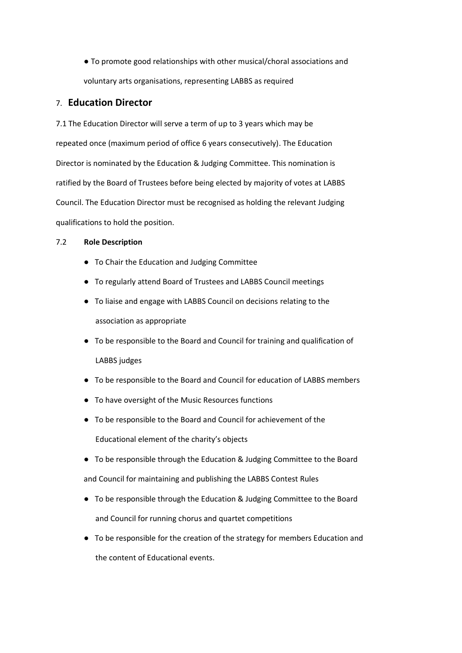● To promote good relationships with other musical/choral associations and voluntary arts organisations, representing LABBS as required

#### 7. **Education Director**

7.1 The Education Director will serve a term of up to 3 years which may be repeated once (maximum period of office 6 years consecutively). The Education Director is nominated by the Education & Judging Committee. This nomination is ratified by the Board of Trustees before being elected by majority of votes at LABBS Council. The Education Director must be recognised as holding the relevant Judging qualifications to hold the position.

#### 7.2 **Role Description**

- To Chair the Education and Judging Committee
- To regularly attend Board of Trustees and LABBS Council meetings
- To liaise and engage with LABBS Council on decisions relating to the association as appropriate
- To be responsible to the Board and Council for training and qualification of LABBS judges
- To be responsible to the Board and Council for education of LABBS members
- To have oversight of the Music Resources functions
- To be responsible to the Board and Council for achievement of the Educational element of the charity's objects
- To be responsible through the Education & Judging Committee to the Board

and Council for maintaining and publishing the LABBS Contest Rules

- To be responsible through the Education & Judging Committee to the Board and Council for running chorus and quartet competitions
- To be responsible for the creation of the strategy for members Education and the content of Educational events.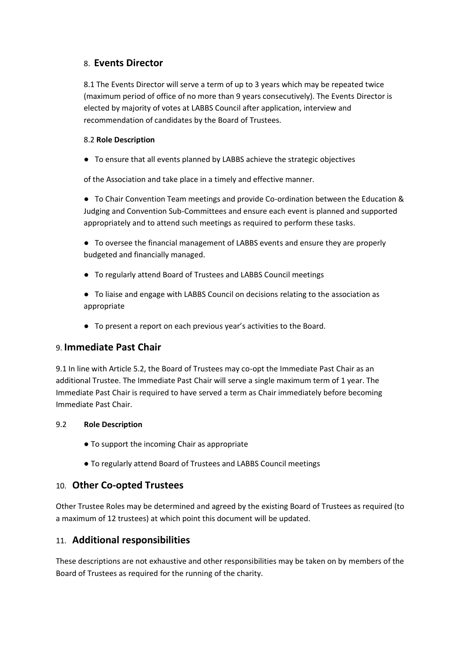## 8. **Events Director**

8.1 The Events Director will serve a term of up to 3 years which may be repeated twice (maximum period of office of no more than 9 years consecutively). The Events Director is elected by majority of votes at LABBS Council after application, interview and recommendation of candidates by the Board of Trustees.

#### 8.2 **Role Description**

● To ensure that all events planned by LABBS achieve the strategic objectives

of the Association and take place in a timely and effective manner.

● To Chair Convention Team meetings and provide Co-ordination between the Education & Judging and Convention Sub-Committees and ensure each event is planned and supported appropriately and to attend such meetings as required to perform these tasks.

● To oversee the financial management of LABBS events and ensure they are properly budgeted and financially managed.

- To regularly attend Board of Trustees and LABBS Council meetings
- To liaise and engage with LABBS Council on decisions relating to the association as appropriate
- To present a report on each previous year's activities to the Board.

# 9. **Immediate Past Chair**

9.1 In line with Article 5.2, the Board of Trustees may co-opt the Immediate Past Chair as an additional Trustee. The Immediate Past Chair will serve a single maximum term of 1 year. The Immediate Past Chair is required to have served a term as Chair immediately before becoming Immediate Past Chair.

#### 9.2 **Role Description**

- To support the incoming Chair as appropriate
- To regularly attend Board of Trustees and LABBS Council meetings

# 10. **Other Co-opted Trustees**

Other Trustee Roles may be determined and agreed by the existing Board of Trustees as required (to a maximum of 12 trustees) at which point this document will be updated.

# 11. **Additional responsibilities**

These descriptions are not exhaustive and other responsibilities may be taken on by members of the Board of Trustees as required for the running of the charity.